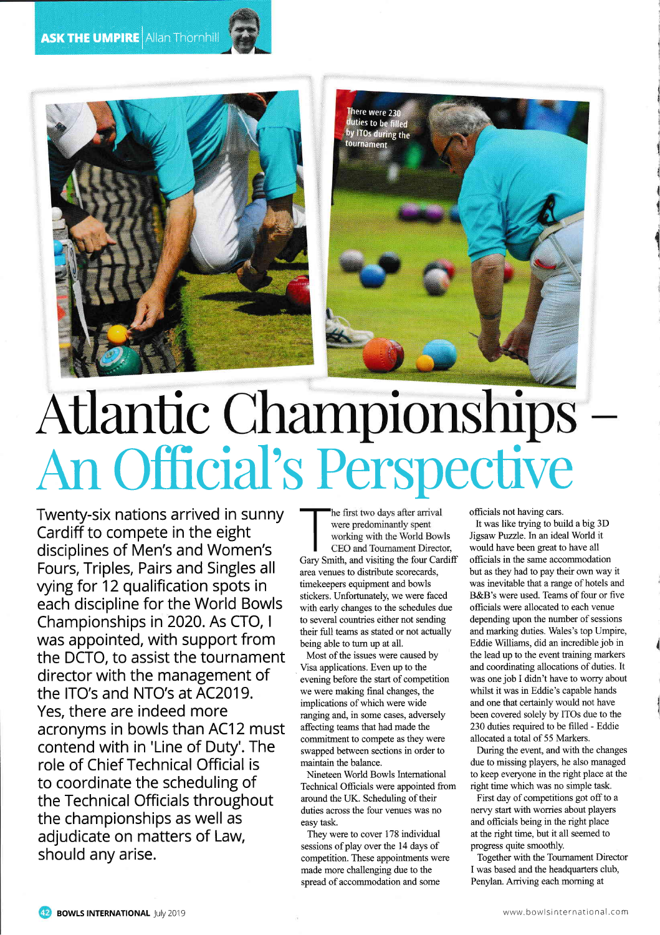



## Atlantic Championships<br>An Official's Perspective

Twenty-six nations arrived in sunny Cardiff to compete in the eight disciplines of Men's and Women's Fours, Triples, Pairs and Singles all vying for 12 qualification spots in each discipline for the World Bowls Championships in 2020. As CTO, I was appointed, with support from the DCTO, to assist the tournament director with the management of the ITO's and NTO's at AC2019. Yes, there are indeed more acronyms in bowls than AC12 must contend with in 'Line of Duty'. The role of Chief Technical Official is to coordinate the scheduling of the Technical Officials throughout the championships as well as adjudicate on matters of Law, should any arise.

he first two days after arrival were predominantly spent working with the World Bowls

CEO and Tournament Director, Gary Smith, and visiting the four Cardiff area venues to distribute scorecards, timekeepers equipment and bowls stickers. Unfortunately, we were faced with early changes to the schedules due to several countries either not sending their full teams as stated or not actually being able to turn up at all.

Most of the issues were caused by Visa applications. Even up to the evening before the start of competition we were making final changes, the implications of which were wide ranging and, in some cases, adversely affecting teams that had made the commitment to compete as they were swapped between sections in order to maintain the balance.

Nineteen World Bowls International Technical Officials were appointed from around the UK. Scheduling of their duties across the four venues was no easy task.

They were to cover 178 individual sessions of play over the 14 days of competition. These appointments were made more challenging due to the spread of accommodation and some

officials not having cars.

It was like trying to build a big 3D Jigsaw Puzzle. In an ideal World it would have been great to have all officials in the same accommodation but as they had to pay their own way it was inevitable that a range of hotels and B&B's were used. Teams of four or five officials were allocated to each venue depending upon the number of sessions and marking duties. Wales's top Umpire, Eddie Williams, did an incredible job in the lead up to the event training markers and coordinating allocations of duties. It was one job I didn't have to worry about whilst it was in Eddie's capable hands and one that certainly would not have been covered solely by ITOs due to the 230 duties required to be filled - Eddie allocated a total of 55 Markers.

During the event, and with the changes due to missing players, he also managed to keep everyone in the right place at the right time which was no simple task.

First day of competitions got off to a nervy start with worries about players and officials being in the right place at the right time, but it all seemed to progress quite smoothly.

Together with the Tournament Director I was based and the headquarters club, Penylan. Arriving each morning at